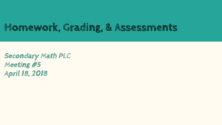# **Homework, Grading, & Assessments**

**Secondary Math PLC Meeting #5 April 18, 2018**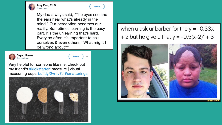

#### Amy Fast, Ed.D @fastcravon

Follow  $\vee$ 

My dad always said, "The eyes see and the ears hear what's already in the mind." Our perception becomes our reality. Sometimes learning is the easy part. It's the unlearning that's hard. Every so often it's important to ask ourselves & even others, "What might I be wrong about?"



Saya Hillman @sayahillman



Very helpful for someone like me, check out my friend's #kickstarter! measure | visual measuring cups buff.ly/2vntv7J #smatterings



when u ask ur barber for the  $y = -0.33x$ + 2 but he give u that  $y = -0.5(x-2)^2 + 3$ 

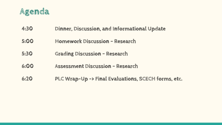

- **4:30 Dinner, Discussion, and Informational Update**
- **5:00 Homework Discussion ~ Research**
- **5:30 Grading Discussion ~ Research**
- **6:00 Assessment Discussion ~ Research**
- **6:20 PLC Wrap-Up -> Final Evaluations, SCECH forms, etc.**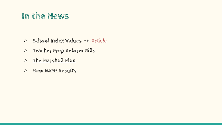# **In the News**

- **○ [School Index Values](https://www.mischooldata.org/SchoolIndex/Location.aspx) -> [Article](http://www.michigan.gov/documents/mde/MI_School_Index_System_Policy_Brief_613866_7.pdf)**
- **○ [Teacher Prep Reform Bills](http://mymassp.com/content/teacher_prep_reform_bills_pass_house_committee)**
- **○ [The Marshall Plan](http://www.michigan.gov/ted/0,5863,7-336-85008---,00.html)**
- **○ [New NAEP Results](https://www.nationsreportcard.gov/math_2017/#?grade=4)**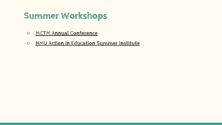# **Summer Workshops**

- **○ [MCTM Annual Conference](https://www.mictm.org/index.php/events-news/mctm-conference-and-institute)**
- **○ [NMU Action in Education Summer Institute](https://www.smore.com/zn8pr)**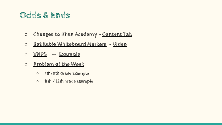## **Odds & Ends**

- **○ Changes to Khan Academy [Content Tab](https://youtu.be/n5_1jFIiPgM)**
- **○ [Refillable Whiteboard Markers](https://www.auspen.us/collections/refillable-markers)  [Video](https://www.youtube.com/watch?v=5UzimB8JMfA)**
- **○ [VNPS](http://slamdunkmath.blogspot.com/2014/08/vertical-non-permanent-surfaces-and.html) -- [Example](https://www.menards.com/main/building-materials/panel-products/industrial-panels/hardboard-pegboard/1-4-x-2-x-4-white-dry-erase-panel/1291200/p-1444431325265-c-13340.htm?tid=7591186734741429978&ipos=5)**
- **○ [Problem of the Week](http://www.cemc.uwaterloo.ca/resources/potw.php)**
	- **○ [7th/8th Grade Example](http://www.cemc.uwaterloo.ca/resources/potw/2017-18/English/POTWC-17-GS-ME-24-P.pdf)**
	- **○ [11th / 12th Grade Example](http://www.cemc.uwaterloo.ca/resources/potw/2017-18/English/POTWE-17-GM-24-P.pdf)**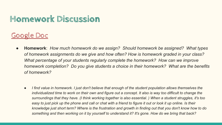# **Homework Discussion**

### [Google Doc](https://docs.google.com/document/d/1HwBoMuBBOhL8Jdq6koCnG47IdoE-zhu31_ZQGliGD0c/edit?usp=sharing)

- **Homework**: *How much homework do we assign? Should homework be assigned? What types of homework assignments do we give and how often? How is homework graded in your class? What percentage of your students regularly complete the homework? How can we improve homework completion? Do you give students a choice in their homework? What are the benefits of homework?* 
	- *● I find value in homework. I just don't believe that enough of the student population allows themselves the individualized time to work on their own and figure out a concept. It also is way too difficult to change the surroundings that they have. (I think working together is also essential. ) When a student struggles, it's too easy to just pick up the phone and call or chat with a friend to figure it out or look it up online. Is their knowledge just short term? Where is the frustration and growth in finding out that you don't know how to do something and then working on it by yourself to understand it? It's gone. How do we bring that back?*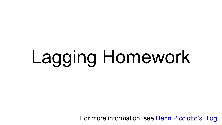# Lagging Homework

For more information, see [Henri Picciotto's Blog](https://blog.mathedpage.org/2014/03/new-practical-advice-document.html)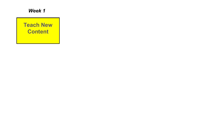

**Teach New Content**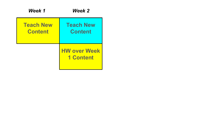| Week 1                             | Week 2                                  |
|------------------------------------|-----------------------------------------|
| <b>Teach New</b><br><b>Content</b> | <b>Teach New</b><br><b>Content</b>      |
|                                    | <b>HW over Week</b><br><b>1 Content</b> |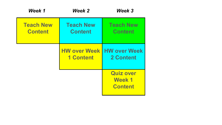| Week 1                             | Week 2                             | Week 3                                                 |
|------------------------------------|------------------------------------|--------------------------------------------------------|
| <b>Teach New</b><br><b>Content</b> | <b>Teach New</b><br><b>Content</b> | <b>Teach New</b><br><b>Content</b>                     |
|                                    | <b>1 Content</b>                   | <b>HW over Week   HW over Week</b><br><b>2 Content</b> |
|                                    |                                    | <b>Quiz over</b><br><b>Week 1</b><br><b>Content</b>    |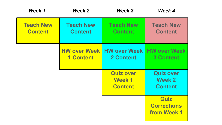| Week 1                             | Week 2                                  | Week 3                                              | Week 4                                              |
|------------------------------------|-----------------------------------------|-----------------------------------------------------|-----------------------------------------------------|
| <b>Teach New</b><br><b>Content</b> | <b>Teach New</b><br><b>Content</b>      | <b>Teach New</b><br><b>Content</b>                  | <b>Teach New</b><br><b>Content</b>                  |
|                                    | <b>HW over Week</b><br><b>1 Content</b> | <b>HW over Week</b><br>2 Content                    | <b>HW over Week</b><br><b>3 Content</b>             |
|                                    |                                         | <b>Quiz over</b><br><b>Week 1</b><br><b>Content</b> | <b>Quiz over</b><br><b>Week 2</b><br><b>Content</b> |
|                                    |                                         |                                                     | <b>Quiz</b><br><b>Corrections</b><br>from Week 1    |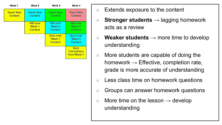| Week <sub>1</sub>                  | Week 2                                     | Week 3                                              | Week 4                                       |
|------------------------------------|--------------------------------------------|-----------------------------------------------------|----------------------------------------------|
| <b>Teach New</b><br><b>Content</b> | <b>Teach New</b><br><b>Content</b>         | <b>Teach New</b><br><b>Content</b>                  | <b>Teach New</b><br><b>Content</b>           |
|                                    | <b>HW</b> over<br>Week 1<br><b>Content</b> | <b>HW</b> over<br>Week 2<br><b>Content</b>          | <b>HW</b> over<br>Week 3<br><b>Content</b>   |
|                                    |                                            | <b>Quiz over</b><br><b>Week 1</b><br><b>Content</b> | <b>Quiz over</b><br>Week 2<br><b>Content</b> |
|                                    |                                            | Quiz<br><b>Corrections</b><br>from Week 1           |                                              |

- Extends exposure to the content
- **Stronger students** → lagging homework acts as a review
- **Weaker students** → more time to develop understanding
- More students are capable of doing the homework  $\rightarrow$  Effective, completion rate, grade is more accurate of understanding
- Less class time on homework questions
- Groups can answer homework questions
- $\circ$  More time on the lesson  $\rightarrow$  develop understanding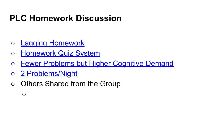# **PLC Homework Discussion**

- [Lagging Homework](https://www.mathedpage.org/middle-school/pdf/homework.pdf)
- [Homework Quiz System](https://www.middleweb.com/33519/whats-the-best-way-to-give-math-homework/)
- [Fewer Problems but Higher Cognitive Demand](https://www.nctm.org/Publications/Mathematics-Teaching-in-Middle-School/2017/Vol22/Issue9/Making-Homework-Matter-to-Students/)
- [2 Problems/Night](https://blog.mrmeyer.com/2008/okay-fine/)
- Others Shared from the Group

 $\bigcirc$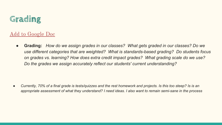

### [Add to Google Doc](https://docs.google.com/document/d/1HwBoMuBBOhL8Jdq6koCnG47IdoE-zhu31_ZQGliGD0c/edit?usp=sharing)

● **Grading:** *How do we assign grades in our classes? What gets graded in our classes? Do we use different categories that are weighted? What is standards-based grading? Do students focus on grades vs. learning? How does extra credit impact grades? What grading scale do we use? Do the grades we assign accurately reflect our students' current understanding?* 

*● Currently, 70% of a final grade is tests/quizzes and the rest homework and projects. Is this too steep? Is is an appropriate assessment of what they understand? I need ideas. I also want to remain semi-sane in the process*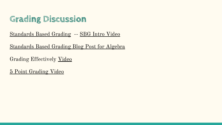# **Grading Discussion**

### [Standards Based Grading](https://whenmathhappens.com/standards-based-grading/) -- [SBG Intro Video](https://youtu.be/gyiJYIHCaOM)

[Standards Based Grading Blog Post for Algebra](http://rcssbg.weebly.com/sbg-in-math.html)

Grading Effectively [Video](https://www.youtube.com/watch?v=dGcjhaQuXK8)

[5 Point Grading Video](https://youtu.be/-NRg68n5t38)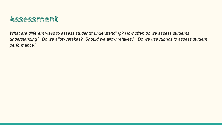

*What are different ways to assess students' understanding? How often do we assess students' understanding? Do we allow retakes? Should we allow retakes? Do we use rubrics to assess student performance?*